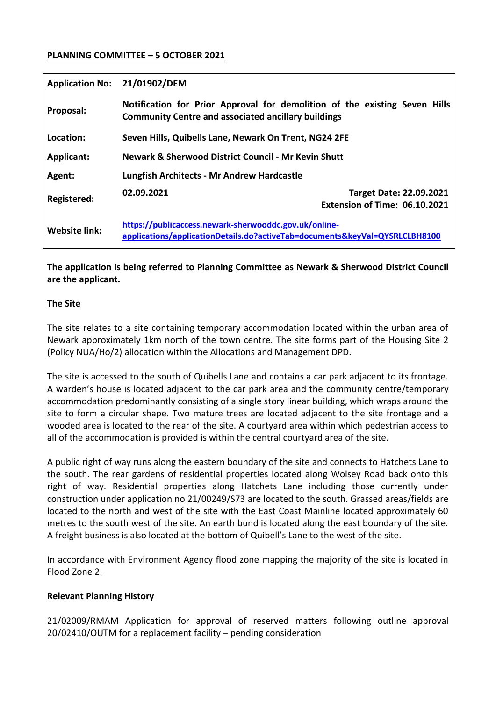## **PLANNING COMMITTEE – 5 OCTOBER 2021**

| <b>Application No:</b> | 21/01902/DEM                                                                                                                             |
|------------------------|------------------------------------------------------------------------------------------------------------------------------------------|
| Proposal:              | Notification for Prior Approval for demolition of the existing Seven Hills<br><b>Community Centre and associated ancillary buildings</b> |
| Location:              | Seven Hills, Quibells Lane, Newark On Trent, NG24 2FE                                                                                    |
| Applicant:             | Newark & Sherwood District Council - Mr Kevin Shutt                                                                                      |
| Agent:                 | <b>Lungfish Architects - Mr Andrew Hardcastle</b>                                                                                        |
| <b>Registered:</b>     | 02.09.2021<br><b>Target Date: 22.09.2021</b><br>Extension of Time: 06.10.2021                                                            |
| Website link:          | https://publicaccess.newark-sherwooddc.gov.uk/online-<br>applications/applicationDetails.do?activeTab=documents&keyVal=QYSRLCLBH8100     |

# **The application is being referred to Planning Committee as Newark & Sherwood District Council are the applicant.**

# **The Site**

The site relates to a site containing temporary accommodation located within the urban area of Newark approximately 1km north of the town centre. The site forms part of the Housing Site 2 (Policy NUA/Ho/2) allocation within the Allocations and Management DPD.

The site is accessed to the south of Quibells Lane and contains a car park adjacent to its frontage. A warden's house is located adjacent to the car park area and the community centre/temporary accommodation predominantly consisting of a single story linear building, which wraps around the site to form a circular shape. Two mature trees are located adjacent to the site frontage and a wooded area is located to the rear of the site. A courtyard area within which pedestrian access to all of the accommodation is provided is within the central courtyard area of the site.

A public right of way runs along the eastern boundary of the site and connects to Hatchets Lane to the south. The rear gardens of residential properties located along Wolsey Road back onto this right of way. Residential properties along Hatchets Lane including those currently under construction under application no 21/00249/S73 are located to the south. Grassed areas/fields are located to the north and west of the site with the East Coast Mainline located approximately 60 metres to the south west of the site. An earth bund is located along the east boundary of the site. A freight business is also located at the bottom of Quibell's Lane to the west of the site.

In accordance with Environment Agency flood zone mapping the majority of the site is located in Flood Zone 2.

## **Relevant Planning History**

21/02009/RMAM Application for approval of reserved matters following outline approval 20/02410/OUTM for a replacement facility – pending consideration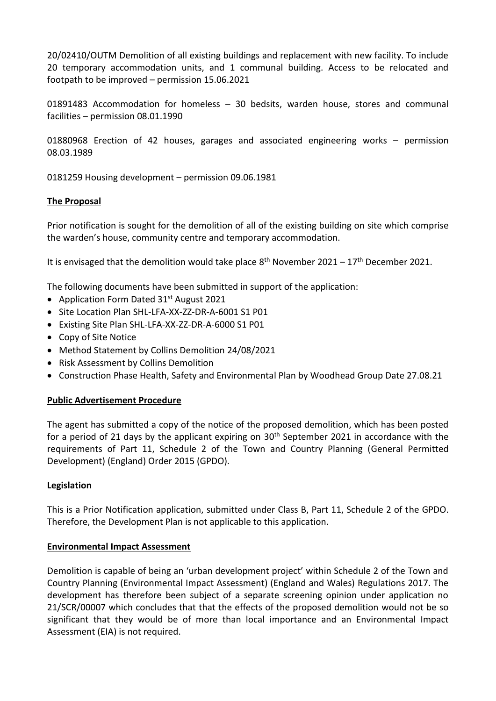20/02410/OUTM Demolition of all existing buildings and replacement with new facility. To include 20 temporary accommodation units, and 1 communal building. Access to be relocated and footpath to be improved – permission 15.06.2021

01891483 Accommodation for homeless – 30 bedsits, warden house, stores and communal facilities – permission 08.01.1990

01880968 Erection of 42 houses, garages and associated engineering works – permission 08.03.1989

0181259 Housing development – permission 09.06.1981

# **The Proposal**

Prior notification is sought for the demolition of all of the existing building on site which comprise the warden's house, community centre and temporary accommodation.

It is envisaged that the demolition would take place  $8<sup>th</sup>$  November 2021 – 17<sup>th</sup> December 2021.

The following documents have been submitted in support of the application:

- Application Form Dated 31<sup>st</sup> August 2021
- Site Location Plan SHL-LFA-XX-ZZ-DR-A-6001 S1 P01
- Existing Site Plan SHL-LFA-XX-ZZ-DR-A-6000 S1 P01
- Copy of Site Notice
- Method Statement by Collins Demolition 24/08/2021
- Risk Assessment by Collins Demolition
- Construction Phase Health, Safety and Environmental Plan by Woodhead Group Date 27.08.21

## **Public Advertisement Procedure**

The agent has submitted a copy of the notice of the proposed demolition, which has been posted for a period of 21 days by the applicant expiring on 30<sup>th</sup> September 2021 in accordance with the requirements of Part 11, Schedule 2 of the Town and Country Planning (General Permitted Development) (England) Order 2015 (GPDO).

## **Legislation**

This is a Prior Notification application, submitted under Class B, Part 11, Schedule 2 of the GPDO. Therefore, the Development Plan is not applicable to this application.

## **Environmental Impact Assessment**

Demolition is capable of being an 'urban development project' within Schedule 2 of the Town and Country Planning (Environmental Impact Assessment) (England and Wales) Regulations 2017. The development has therefore been subject of a separate screening opinion under application no 21/SCR/00007 which concludes that that the effects of the proposed demolition would not be so significant that they would be of more than local importance and an Environmental Impact Assessment (EIA) is not required.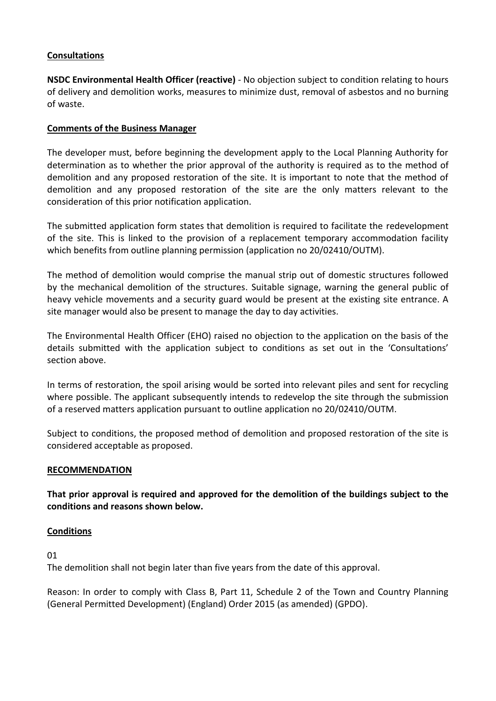# **Consultations**

**NSDC Environmental Health Officer (reactive)** - No objection subject to condition relating to hours of delivery and demolition works, measures to minimize dust, removal of asbestos and no burning of waste.

## **Comments of the Business Manager**

The developer must, before beginning the development apply to the Local Planning Authority for determination as to whether the prior approval of the authority is required as to the method of demolition and any proposed restoration of the site. It is important to note that the method of demolition and any proposed restoration of the site are the only matters relevant to the consideration of this prior notification application.

The submitted application form states that demolition is required to facilitate the redevelopment of the site. This is linked to the provision of a replacement temporary accommodation facility which benefits from outline planning permission (application no 20/02410/OUTM).

The method of demolition would comprise the manual strip out of domestic structures followed by the mechanical demolition of the structures. Suitable signage, warning the general public of heavy vehicle movements and a security guard would be present at the existing site entrance. A site manager would also be present to manage the day to day activities.

The Environmental Health Officer (EHO) raised no objection to the application on the basis of the details submitted with the application subject to conditions as set out in the 'Consultations' section above.

In terms of restoration, the spoil arising would be sorted into relevant piles and sent for recycling where possible. The applicant subsequently intends to redevelop the site through the submission of a reserved matters application pursuant to outline application no 20/02410/OUTM.

Subject to conditions, the proposed method of demolition and proposed restoration of the site is considered acceptable as proposed.

## **RECOMMENDATION**

**That prior approval is required and approved for the demolition of the buildings subject to the conditions and reasons shown below.**

## **Conditions**

01

The demolition shall not begin later than five years from the date of this approval.

Reason: In order to comply with Class B, Part 11, Schedule 2 of the Town and Country Planning (General Permitted Development) (England) Order 2015 (as amended) (GPDO).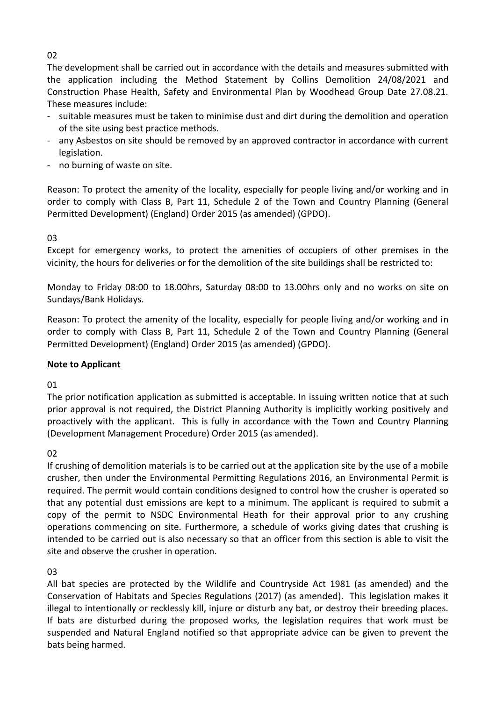# 02

The development shall be carried out in accordance with the details and measures submitted with the application including the Method Statement by Collins Demolition 24/08/2021 and Construction Phase Health, Safety and Environmental Plan by Woodhead Group Date 27.08.21. These measures include:

- suitable measures must be taken to minimise dust and dirt during the demolition and operation of the site using best practice methods.
- any Asbestos on site should be removed by an approved contractor in accordance with current legislation.
- no burning of waste on site.

Reason: To protect the amenity of the locality, especially for people living and/or working and in order to comply with Class B, Part 11, Schedule 2 of the Town and Country Planning (General Permitted Development) (England) Order 2015 (as amended) (GPDO).

# 03

Except for emergency works, to protect the amenities of occupiers of other premises in the vicinity, the hours for deliveries or for the demolition of the site buildings shall be restricted to:

Monday to Friday 08:00 to 18.00hrs, Saturday 08:00 to 13.00hrs only and no works on site on Sundays/Bank Holidays.

Reason: To protect the amenity of the locality, especially for people living and/or working and in order to comply with Class B, Part 11, Schedule 2 of the Town and Country Planning (General Permitted Development) (England) Order 2015 (as amended) (GPDO).

# **Note to Applicant**

01

The prior notification application as submitted is acceptable. In issuing written notice that at such prior approval is not required, the District Planning Authority is implicitly working positively and proactively with the applicant. This is fully in accordance with the Town and Country Planning (Development Management Procedure) Order 2015 (as amended).

 $02$ 

If crushing of demolition materials is to be carried out at the application site by the use of a mobile crusher, then under the Environmental Permitting Regulations 2016, an Environmental Permit is required. The permit would contain conditions designed to control how the crusher is operated so that any potential dust emissions are kept to a minimum. The applicant is required to submit a copy of the permit to NSDC Environmental Heath for their approval prior to any crushing operations commencing on site. Furthermore, a schedule of works giving dates that crushing is intended to be carried out is also necessary so that an officer from this section is able to visit the site and observe the crusher in operation.

# 03

All bat species are protected by the Wildlife and Countryside Act 1981 (as amended) and the Conservation of Habitats and Species Regulations (2017) (as amended). This legislation makes it illegal to intentionally or recklessly kill, injure or disturb any bat, or destroy their breeding places. If bats are disturbed during the proposed works, the legislation requires that work must be suspended and Natural England notified so that appropriate advice can be given to prevent the bats being harmed.